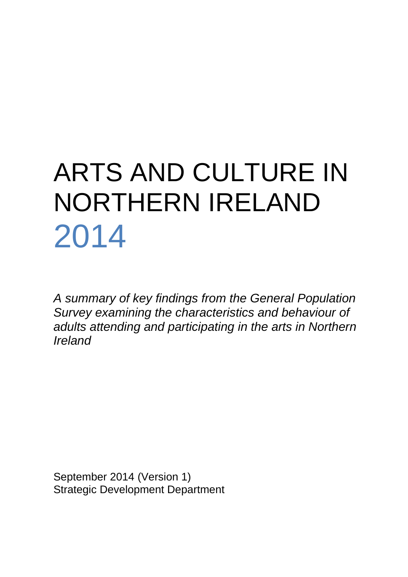# ARTS AND CULTURE IN NORTHERN IRELAND 2014

*A summary of key findings from the General Population Survey examining the characteristics and behaviour of adults attending and participating in the arts in Northern Ireland*

September 2014 (Version 1) Strategic Development Department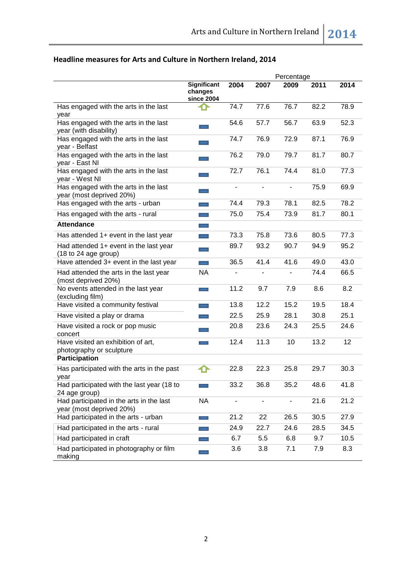|                                                                      | Percentage                                         |                              |                |                |      |      |
|----------------------------------------------------------------------|----------------------------------------------------|------------------------------|----------------|----------------|------|------|
|                                                                      | <b>Significant</b><br>changes<br><b>since 2004</b> | 2004                         | 2007           | 2009           | 2011 | 2014 |
| Has engaged with the arts in the last<br>year                        |                                                    | 74.7                         | 77.6           | 76.7           | 82.2 | 78.9 |
| Has engaged with the arts in the last<br>year (with disability)      |                                                    | 54.6                         | 57.7           | 56.7           | 63.9 | 52.3 |
| Has engaged with the arts in the last<br>year - Belfast              |                                                    | 74.7                         | 76.9           | 72.9           | 87.1 | 76.9 |
| Has engaged with the arts in the last<br>year - East NI              | $\hspace{0.5cm}$                                   | 76.2                         | 79.0           | 79.7           | 81.7 | 80.7 |
| Has engaged with the arts in the last<br>year - West NI              | $\hspace{0.5cm}$                                   | 72.7                         | 76.1           | 74.4           | 81.0 | 77.3 |
| Has engaged with the arts in the last<br>year (most deprived 20%)    | $\overline{\phantom{0}}$                           | $\blacksquare$               | $\blacksquare$ | $\blacksquare$ | 75.9 | 69.9 |
| Has engaged with the arts - urban                                    | $\hspace{0.5cm}$                                   | 74.4                         | 79.3           | 78.1           | 82.5 | 78.2 |
| Has engaged with the arts - rural                                    | $\overline{\phantom{0}}$                           | 75.0                         | 75.4           | 73.9           | 81.7 | 80.1 |
| <b>Attendance</b>                                                    | $\equiv$                                           |                              |                |                |      |      |
| Has attended 1+ event in the last year                               | $\overline{\phantom{a}}$                           | 73.3                         | 75.8           | 73.6           | 80.5 | 77.3 |
| Had attended 1+ event in the last year<br>(18 to 24 age group)       | $\overline{\phantom{a}}$                           | 89.7                         | 93.2           | 90.7           | 94.9 | 95.2 |
| Have attended 3+ event in the last year                              |                                                    | 36.5                         | 41.4           | 41.6           | 49.0 | 43.0 |
| Had attended the arts in the last year<br>(most deprived 20%)        | <b>NA</b>                                          | $\qquad \qquad \blacksquare$ |                |                | 74.4 | 66.5 |
| No events attended in the last year<br>(excluding film)              | $\overline{\phantom{a}}$                           | 11.2                         | 9.7            | 7.9            | 8.6  | 8.2  |
| Have visited a community festival                                    | $\overline{\phantom{0}}$                           | 13.8                         | 12.2           | 15.2           | 19.5 | 18.4 |
| Have visited a play or drama                                         |                                                    | 22.5                         | 25.9           | 28.1           | 30.8 | 25.1 |
| Have visited a rock or pop music<br>concert                          |                                                    | 20.8                         | 23.6           | 24.3           | 25.5 | 24.6 |
| Have visited an exhibition of art,<br>photography or sculpture       |                                                    | 12.4                         | 11.3           | 10             | 13.2 | 12   |
| Participation                                                        |                                                    |                              |                |                |      |      |
| Has participated with the arts in the past<br>year                   |                                                    | 22.8                         | 22.3           | 25.8           | 29.7 | 30.3 |
| Had participated with the last year (18 to<br>24 age group)          |                                                    | 33.2                         | 36.8           | 35.2           | 48.6 | 41.8 |
| Had participated in the arts in the last<br>year (most deprived 20%) | <b>NA</b>                                          | ÷,                           |                |                | 21.6 | 21.2 |
| Had participated in the arts - urban                                 | $\overline{\phantom{0}}$                           | 21.2                         | 22             | 26.5           | 30.5 | 27.9 |
| Had participated in the arts - rural                                 |                                                    | 24.9                         | 22.7           | 24.6           | 28.5 | 34.5 |
| Had participated in craft                                            |                                                    | 6.7                          | 5.5            | 6.8            | 9.7  | 10.5 |
| Had participated in photography or film<br>making                    |                                                    | 3.6                          | 3.8            | 7.1            | 7.9  | 8.3  |

# **Headline measures for Arts and Culture in Northern Ireland, 2014**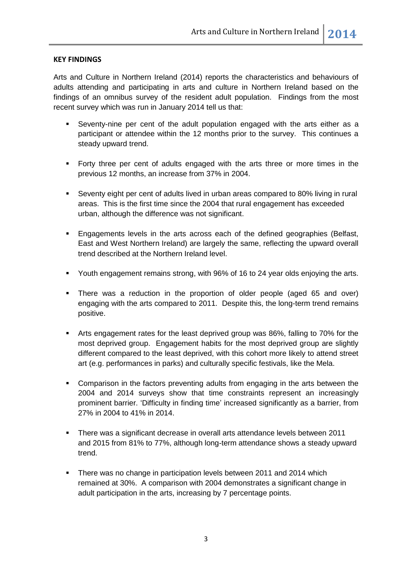#### **KEY FINDINGS**

Arts and Culture in Northern Ireland (2014) reports the characteristics and behaviours of adults attending and participating in arts and culture in Northern Ireland based on the findings of an omnibus survey of the resident adult population. Findings from the most recent survey which was run in January 2014 tell us that:

- Seventy-nine per cent of the adult population engaged with the arts either as a participant or attendee within the 12 months prior to the survey. This continues a steady upward trend.
- Forty three per cent of adults engaged with the arts three or more times in the previous 12 months, an increase from 37% in 2004.
- Seventy eight per cent of adults lived in urban areas compared to 80% living in rural areas. This is the first time since the 2004 that rural engagement has exceeded urban, although the difference was not significant.
- Engagements levels in the arts across each of the defined geographies (Belfast, East and West Northern Ireland) are largely the same, reflecting the upward overall trend described at the Northern Ireland level.
- Youth engagement remains strong, with 96% of 16 to 24 year olds enjoying the arts.
- There was a reduction in the proportion of older people (aged 65 and over) engaging with the arts compared to 2011. Despite this, the long-term trend remains positive.
- Arts engagement rates for the least deprived group was 86%, falling to 70% for the most deprived group. Engagement habits for the most deprived group are slightly different compared to the least deprived, with this cohort more likely to attend street art (e.g. performances in parks) and culturally specific festivals, like the Mela.
- Comparison in the factors preventing adults from engaging in the arts between the 2004 and 2014 surveys show that time constraints represent an increasingly prominent barrier. 'Difficulty in finding time' increased significantly as a barrier, from 27% in 2004 to 41% in 2014.
- There was a significant decrease in overall arts attendance levels between 2011 and 2015 from 81% to 77%, although long-term attendance shows a steady upward trend.
- **There was no change in participation levels between 2011 and 2014 which** remained at 30%. A comparison with 2004 demonstrates a significant change in adult participation in the arts, increasing by 7 percentage points.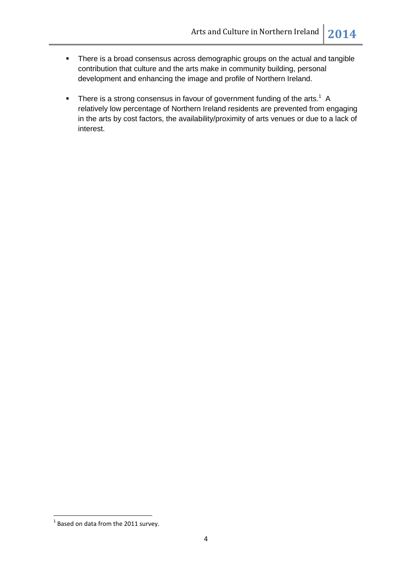- There is a broad consensus across demographic groups on the actual and tangible contribution that culture and the arts make in community building, personal development and enhancing the image and profile of Northern Ireland.
- There is a strong consensus in favour of government funding of the arts.<sup>1</sup> A relatively low percentage of Northern Ireland residents are prevented from engaging in the arts by cost factors, the availability/proximity of arts venues or due to a lack of interest.

 1 Based on data from the 2011 survey.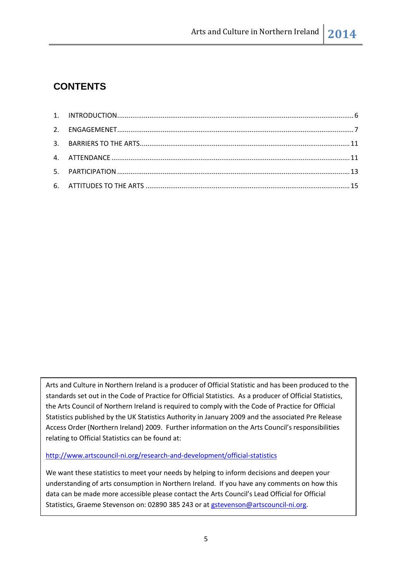# **CONTENTS**

Arts and Culture in Northern Ireland is a producer of Official Statistic and has been produced to the standards set out in the Code of Practice for Official Statistics. As a producer of Official Statistics, the Arts Council of Northern Ireland is required to comply with the Code of Practice for Official Statistics published by the UK Statistics Authority in January 2009 and the associated Pre Release Access Order (Northern Ireland) 2009. Further information on the Arts Council's responsibilities relating to Official Statistics can be found at:

<http://www.artscouncil-ni.org/research-and-development/official-statistics>

We want these statistics to meet your needs by helping to inform decisions and deepen your understanding of arts consumption in Northern Ireland. If you have any comments on how this data can be made more accessible please contact the Arts Council's Lead Official for Official Statistics, Graeme Stevenson on: 02890 385 243 or at [gstevenson@artscouncil-ni.org.](mailto:gstevenson@artscouncil-ni.org)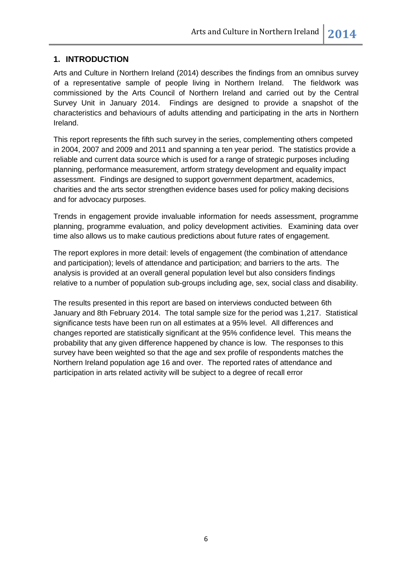## <span id="page-5-0"></span>**1. INTRODUCTION**

Arts and Culture in Northern Ireland (2014) describes the findings from an omnibus survey of a representative sample of people living in Northern Ireland. The fieldwork was commissioned by the Arts Council of Northern Ireland and carried out by the Central Survey Unit in January 2014. Findings are designed to provide a snapshot of the characteristics and behaviours of adults attending and participating in the arts in Northern Ireland.

This report represents the fifth such survey in the series, complementing others competed in 2004, 2007 and 2009 and 2011 and spanning a ten year period. The statistics provide a reliable and current data source which is used for a range of strategic purposes including planning, performance measurement, artform strategy development and equality impact assessment. Findings are designed to support government department, academics, charities and the arts sector strengthen evidence bases used for policy making decisions and for advocacy purposes.

Trends in engagement provide invaluable information for needs assessment, programme planning, programme evaluation, and policy development activities. Examining data over time also allows us to make cautious predictions about future rates of engagement.

The report explores in more detail: levels of engagement (the combination of attendance and participation); levels of attendance and participation; and barriers to the arts. The analysis is provided at an overall general population level but also considers findings relative to a number of population sub-groups including age, sex, social class and disability.

The results presented in this report are based on interviews conducted between 6th January and 8th February 2014. The total sample size for the period was 1,217. Statistical significance tests have been run on all estimates at a 95% level. All differences and changes reported are statistically significant at the 95% confidence level. This means the probability that any given difference happened by chance is low. The responses to this survey have been weighted so that the age and sex profile of respondents matches the Northern Ireland population age 16 and over. The reported rates of attendance and participation in arts related activity will be subject to a degree of recall error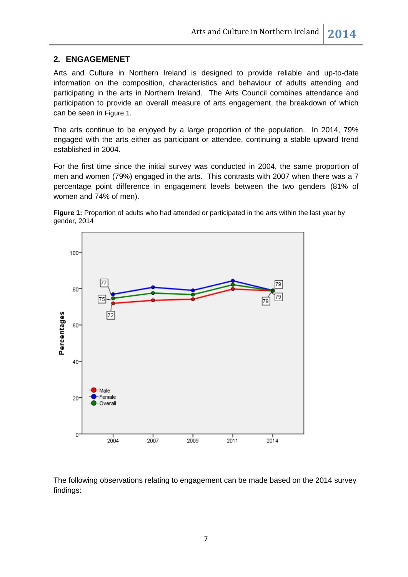#### <span id="page-6-0"></span>**2. ENGAGEMENET**

Arts and Culture in Northern Ireland is designed to provide reliable and up-to-date information on the composition, characteristics and behaviour of adults attending and participating in the arts in Northern Ireland. The Arts Council combines attendance and participation to provide an overall measure of arts engagement, the breakdown of which can be seen in [Figure 1](#page-6-1).

The arts continue to be enjoyed by a large proportion of the population. In 2014, 79% engaged with the arts either as participant or attendee, continuing a stable upward trend established in 2004.

For the first time since the initial survey was conducted in 2004, the same proportion of men and women (79%) engaged in the arts. This contrasts with 2007 when there was a 7 percentage point difference in engagement levels between the two genders (81% of women and 74% of men).

<span id="page-6-1"></span>



The following observations relating to engagement can be made based on the 2014 survey findings: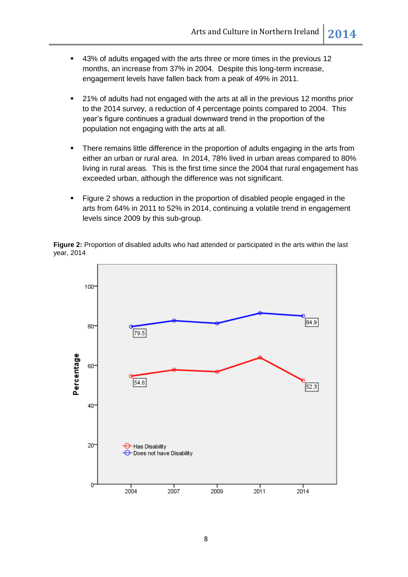- 43% of adults engaged with the arts three or more times in the previous 12 months, an increase from 37% in 2004. Despite this long-term increase, engagement levels have fallen back from a peak of 49% in 2011.
- **21% of adults had not engaged with the arts at all in the previous 12 months prior** to the 2014 survey, a reduction of 4 percentage points compared to 2004. This year's figure continues a gradual downward trend in the proportion of the population not engaging with the arts at all.
- There remains little difference in the proportion of adults engaging in the arts from either an urban or rural area. In 2014, 78% lived in urban areas compared to 80% living in rural areas. This is the first time since the 2004 that rural engagement has exceeded urban, although the difference was not significant.
- Figure 2 shows a reduction in the proportion of disabled people engaged in the arts from 64% in 2011 to 52% in 2014, continuing a volatile trend in engagement levels since 2009 by this sub-group.

**Figure 2:** Proportion of disabled adults who had attended or participated in the arts within the last year, 2014

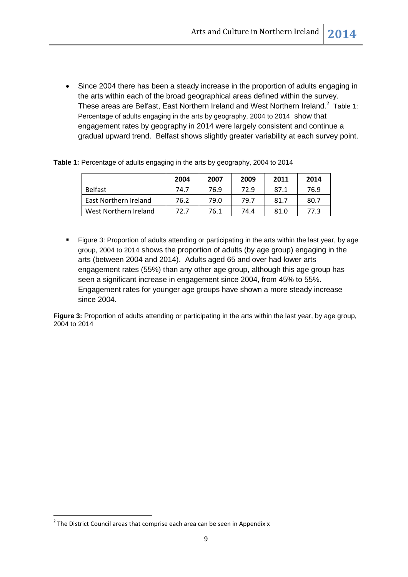Since 2004 there has been a steady increase in the proportion of adults engaging in the arts within each of the broad geographical areas defined within the survey. These areas are Belfast, East Northern Ireland and West Northern Ireland.<sup>2</sup> Table 1: [Percentage of adults engaging in the arts by geography, 2004 to 2014](#page-8-0) show that engagement rates by geography in 2014 were largely consistent and continue a gradual upward trend. Belfast shows slightly greater variability at each survey point.

|                       | 2004 | 2007 | 2009 | 2011 | 2014 |
|-----------------------|------|------|------|------|------|
| Belfast               | 74.7 | 76.9 | 72.9 | 87.1 | 76.9 |
| East Northern Ireland | 76.2 | 79.0 | 79.7 | 81.7 | 80.7 |
| West Northern Ireland | 72.7 | 76.1 | 74.4 | 81.0 | 77.3 |

<span id="page-8-0"></span>Table 1: Percentage of adults engaging in the arts by geography, 2004 to 2014

 [Figure 3: Proportion of adults attending or participating in the arts within the last year, by age](#page-8-1)  [group, 2004 to 2014](#page-8-1) shows the proportion of adults (by age group) engaging in the arts (between 2004 and 2014). Adults aged 65 and over had lower arts engagement rates (55%) than any other age group, although this age group has seen a significant increase in engagement since 2004, from 45% to 55%. Engagement rates for younger age groups have shown a more steady increase since 2004.

<span id="page-8-1"></span>**Figure 3:** Proportion of adults attending or participating in the arts within the last year, by age group, 2004 to 2014

**.** 

 $2$  The District Council areas that comprise each area can be seen in Appendix x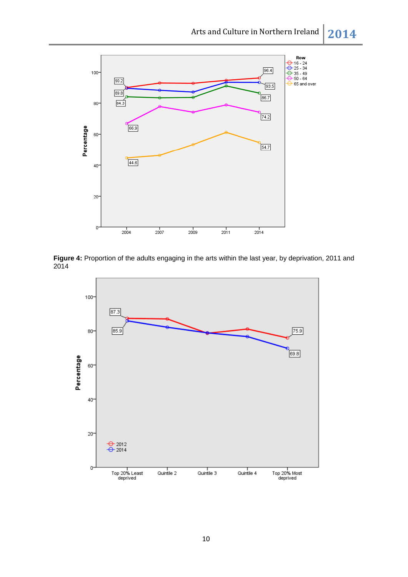

Figure 4: Proportion of the adults engaging in the arts within the last year, by deprivation, 2011 and 2014

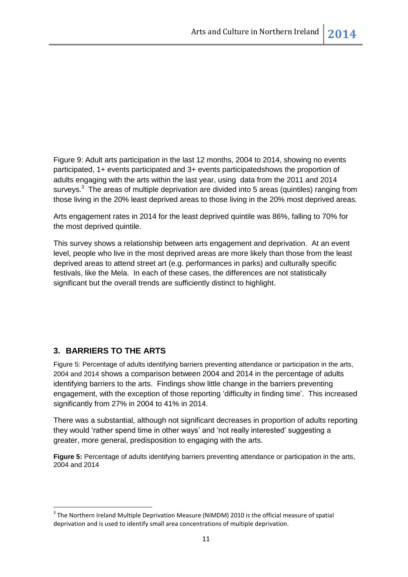[Figure 9: Adult arts participation in the last 12 months, 2004 to 2014, showing no events](#page-14-0)  [participated, 1+ events participated and 3+ events participateds](#page-14-0)hows the proportion of adults engaging with the arts within the last year, using data from the 2011 and 2014 surveys.<sup>3</sup> The areas of multiple deprivation are divided into 5 areas (quintiles) ranging from those living in the 20% least deprived areas to those living in the 20% most deprived areas.

Arts engagement rates in 2014 for the least deprived quintile was 86%, falling to 70% for the most deprived quintile.

This survey shows a relationship between arts engagement and deprivation. At an event level, people who live in the most deprived areas are more likely than those from the least deprived areas to attend street art (e.g. performances in parks) and culturally specific festivals, like the Mela. In each of these cases, the differences are not statistically significant but the overall trends are sufficiently distinct to highlight.

### <span id="page-10-0"></span>**3. BARRIERS TO THE ARTS**

1

[Figure 5: Percentage of adults identifying barriers preventing attendance or participation in the arts,](#page-10-1)  [2004 and 2014](#page-10-1) shows a comparison between 2004 and 2014 in the percentage of adults identifying barriers to the arts. Findings show little change in the barriers preventing engagement, with the exception of those reporting 'difficulty in finding time'. This increased significantly from 27% in 2004 to 41% in 2014.

There was a substantial, although not significant decreases in proportion of adults reporting they would 'rather spend time in other ways' and 'not really interested' suggesting a greater, more general, predisposition to engaging with the arts.

<span id="page-10-1"></span>Figure 5: Percentage of adults identifying barriers preventing attendance or participation in the arts, 2004 and 2014

<sup>&</sup>lt;sup>3</sup> The Northern Ireland Multiple Deprivation Measure (NIMDM) 2010 is the official measure of spatial deprivation and is used to identify small area concentrations of multiple deprivation.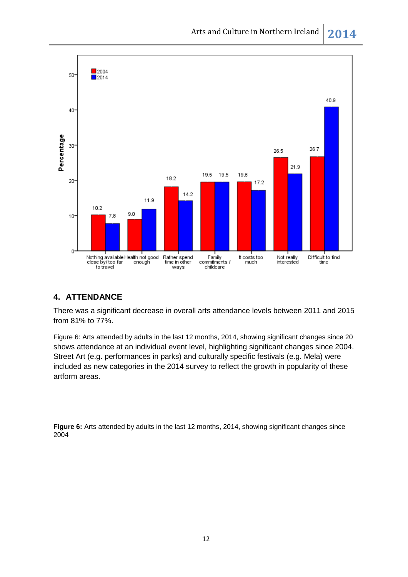

### <span id="page-11-0"></span>**4. ATTENDANCE**

There was a significant decrease in overall arts attendance levels between 2011 and 2015 from 81% to 77%.

[Figure 6: Arts attended by adults in the last 12 months, 2014, showing significant changes since 20](#page-11-1) shows attendance at an individual event level, highlighting significant changes since 2004. Street Art (e.g. performances in parks) and culturally specific festivals (e.g. Mela) were included as new categories in the 2014 survey to reflect the growth in popularity of these artform areas.

<span id="page-11-1"></span>**Figure 6:** Arts attended by adults in the last 12 months, 2014, showing significant changes since 2004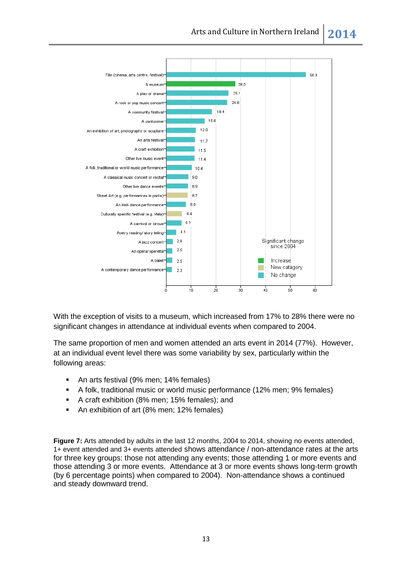

With the exception of visits to a museum, which increased from 17% to 28% there were no significant changes in attendance at individual events when compared to 2004.

The same proportion of men and women attended an arts event in 2014 (77%). However, at an individual event level there was some variability by sex, particularly within the following areas:

- An arts festival (9% men; 14% females)
- A folk, traditional music or world music performance (12% men; 9% females)
- A craft exhibition (8% men; 15% females); and
- An exhibition of art (8% men; 12% females)

<span id="page-12-0"></span>**Figure 7:** [Arts attended by adults in the last 12 months, 2004 to 2014, showing no events attended,](#page-12-0)  [1+ event attended and 3+ events attended](#page-12-0) shows attendance / non-attendance rates at the arts for three key groups: those not attending any events; those attending 1 or more events and those attending 3 or more events. Attendance at 3 or more events shows long-term growth (by 6 percentage points) when compared to 2004). Non-attendance shows a continued and steady downward trend.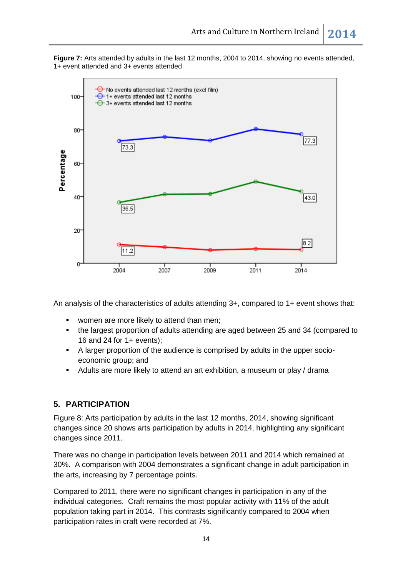**Figure 7:** Arts attended by adults in the last 12 months, 2004 to 2014, showing no events attended, 1+ event attended and 3+ events attended



An analysis of the characteristics of adults attending 3+, compared to 1+ event shows that:

- women are more likely to attend than men;
- the largest proportion of adults attending are aged between 25 and 34 (compared to 16 and 24 for 1+ events);
- A larger proportion of the audience is comprised by adults in the upper socioeconomic group; and
- Adults are more likely to attend an art exhibition, a museum or play / drama

#### <span id="page-13-0"></span>**5. PARTICIPATION**

[Figure 8: Arts participation by adults in the last 12 months, 2014, showing significant](#page-14-1)  [changes since 20](#page-14-1) shows arts participation by adults in 2014, highlighting any significant changes since 2011.

There was no change in participation levels between 2011 and 2014 which remained at 30%. A comparison with 2004 demonstrates a significant change in adult participation in the arts, increasing by 7 percentage points.

Compared to 2011, there were no significant changes in participation in any of the individual categories. Craft remains the most popular activity with 11% of the adult population taking part in 2014. This contrasts significantly compared to 2004 when participation rates in craft were recorded at 7%.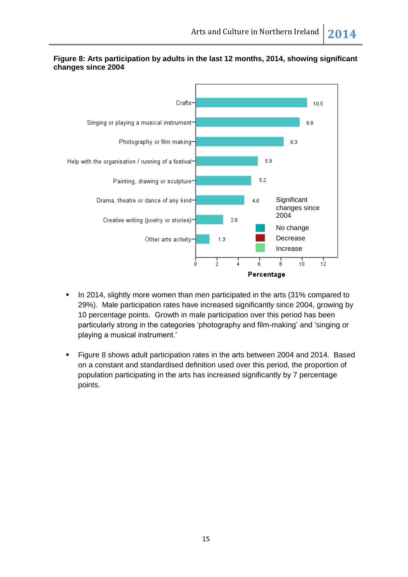

#### <span id="page-14-1"></span>**Figure 8: Arts participation by adults in the last 12 months, 2014, showing significant changes since 2004**

- In 2014, slightly more women than men participated in the arts (31% compared to 29%). Male participation rates have increased significantly since 2004, growing by 10 percentage points. Growth in male participation over this period has been particularly strong in the categories 'photography and film-making' and 'singing or playing a musical instrument.'
- <span id="page-14-0"></span> Figure 8 shows adult participation rates in the arts between 2004 and 2014. Based on a constant and standardised definition used over this period, the proportion of population participating in the arts has increased significantly by 7 percentage points.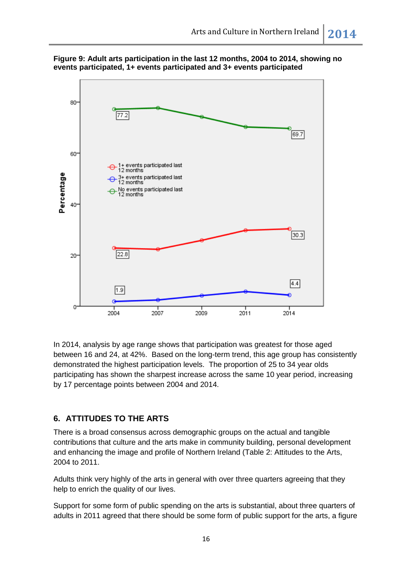



In 2014, analysis by age range shows that participation was greatest for those aged between 16 and 24, at 42%. Based on the long-term trend, this age group has consistently demonstrated the highest participation levels. The proportion of 25 to 34 year olds participating has shown the sharpest increase across the same 10 year period, increasing by 17 percentage points between 2004 and 2014.

### <span id="page-15-0"></span>**6. ATTITUDES TO THE ARTS**

There is a broad consensus across demographic groups on the actual and tangible contributions that culture and the arts make in community building, personal development and enhancing the image and profile of Northern Ireland (Table 2: [Attitudes to the Arts,](#page-17-0)  [2004 to 2011.](#page-17-0)

Adults think very highly of the arts in general with over three quarters agreeing that they help to enrich the quality of our lives.

Support for some form of public spending on the arts is substantial, about three quarters of adults in 2011 agreed that there should be some form of public support for the arts, a figure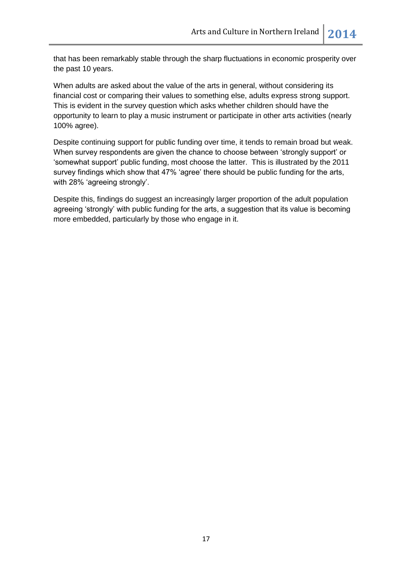that has been remarkably stable through the sharp fluctuations in economic prosperity over the past 10 years.

When adults are asked about the value of the arts in general, without considering its financial cost or comparing their values to something else, adults express strong support. This is evident in the survey question which asks whether children should have the opportunity to learn to play a music instrument or participate in other arts activities (nearly 100% agree).

Despite continuing support for public funding over time, it tends to remain broad but weak. When survey respondents are given the chance to choose between 'strongly support' or 'somewhat support' public funding, most choose the latter. This is illustrated by the 2011 survey findings which show that 47% 'agree' there should be public funding for the arts, with 28% 'agreeing strongly'.

Despite this, findings do suggest an increasingly larger proportion of the adult population agreeing 'strongly' with public funding for the arts, a suggestion that its value is becoming more embedded, particularly by those who engage in it.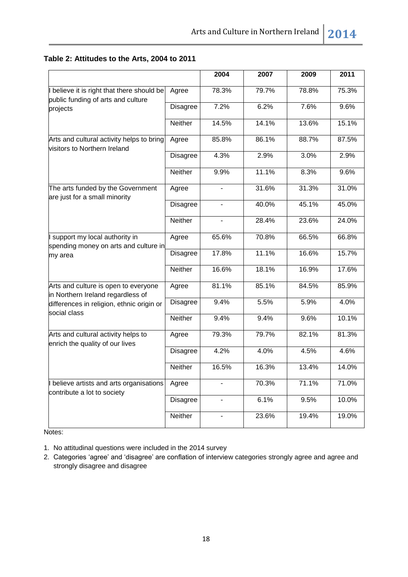## <span id="page-17-0"></span>**Table 2: Attitudes to the Arts, 2004 to 2011**

|                                                                                     |                 | 2004                     | 2007  | 2009  | 2011  |
|-------------------------------------------------------------------------------------|-----------------|--------------------------|-------|-------|-------|
| believe it is right that there should be<br>public funding of arts and culture      | Agree           | 78.3%                    | 79.7% | 78.8% | 75.3% |
| projects                                                                            | <b>Disagree</b> | 7.2%                     | 6.2%  | 7.6%  | 9.6%  |
|                                                                                     | Neither         | 14.5%                    | 14.1% | 13.6% | 15.1% |
| Arts and cultural activity helps to bring<br>visitors to Northern Ireland           | Agree           | 85.8%                    | 86.1% | 88.7% | 87.5% |
|                                                                                     | Disagree        | 4.3%                     | 2.9%  | 3.0%  | 2.9%  |
|                                                                                     | Neither         | 9.9%                     | 11.1% | 8.3%  | 9.6%  |
| The arts funded by the Government<br>are just for a small minority                  | Agree           |                          | 31.6% | 31.3% | 31.0% |
|                                                                                     | <b>Disagree</b> | ÷,                       | 40.0% | 45.1% | 45.0% |
|                                                                                     | Neither         |                          | 28.4% | 23.6% | 24.0% |
| I support my local authority in<br>spending money on arts and culture in<br>my area | Agree           | 65.6%                    | 70.8% | 66.5% | 66.8% |
|                                                                                     | <b>Disagree</b> | 17.8%                    | 11.1% | 16.6% | 15.7% |
|                                                                                     | Neither         | 16.6%                    | 18.1% | 16.9% | 17.6% |
| Arts and culture is open to everyone<br>in Northern Ireland regardless of           | Agree           | 81.1%                    | 85.1% | 84.5% | 85.9% |
| differences in religion, ethnic origin or<br>social class                           | <b>Disagree</b> | 9.4%                     | 5.5%  | 5.9%  | 4.0%  |
|                                                                                     | Neither         | 9.4%                     | 9.4%  | 9.6%  | 10.1% |
| Arts and cultural activity helps to<br>enrich the quality of our lives              | Agree           | 79.3%                    | 79.7% | 82.1% | 81.3% |
|                                                                                     | <b>Disagree</b> | 4.2%                     | 4.0%  | 4.5%  | 4.6%  |
|                                                                                     | Neither         | 16.5%                    | 16.3% | 13.4% | 14.0% |
| I believe artists and arts organisations<br>contribute a lot to society             | Agree           |                          | 70.3% | 71.1% | 71.0% |
|                                                                                     | <b>Disagree</b> | ÷,                       | 6.1%  | 9.5%  | 10.0% |
|                                                                                     | Neither         | $\overline{\phantom{0}}$ | 23.6% | 19.4% | 19.0% |

Notes:

1. No attitudinal questions were included in the 2014 survey

2. Categories 'agree' and 'disagree' are conflation of interview categories strongly agree and agree and strongly disagree and disagree